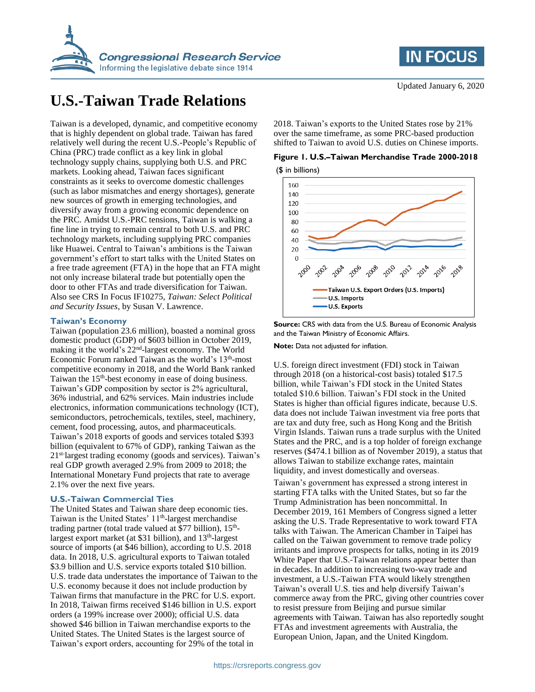

# **U.S.-Taiwan Trade Relations**

Taiwan is a developed, dynamic, and competitive economy that is highly dependent on global trade. Taiwan has fared relatively well during the recent U.S.-People's Republic of China (PRC) trade conflict as a key link in global technology supply chains, supplying both U.S. and PRC markets. Looking ahead, Taiwan faces significant constraints as it seeks to overcome domestic challenges (such as labor mismatches and energy shortages), generate new sources of growth in emerging technologies, and diversify away from a growing economic dependence on the PRC. Amidst U.S.-PRC tensions, Taiwan is walking a fine line in trying to remain central to both U.S. and PRC technology markets, including supplying PRC companies like Huawei. Central to Taiwan's ambitions is the Taiwan government's effort to start talks with the United States on a free trade agreement (FTA) in the hope that an FTA might not only increase bilateral trade but potentially open the door to other FTAs and trade diversification for Taiwan. Also see CRS In Focus IF10275, *Taiwan: Select Political and Security Issues*, by Susan V. Lawrence.

#### **Taiwan's Economy**

Taiwan (population 23.6 million), boasted a nominal gross domestic product (GDP) of \$603 billion in October 2019, making it the world's 22<sup>nd</sup>-largest economy. The World Economic Forum ranked Taiwan as the world's 13<sup>th</sup>-most competitive economy in 2018, and the World Bank ranked Taiwan the 15<sup>th</sup>-best economy in ease of doing business. Taiwan's GDP composition by sector is 2% agricultural, 36% industrial, and 62% services. Main industries include electronics, information communications technology (ICT), semiconductors, petrochemicals, textiles, steel, machinery, cement, food processing, autos, and pharmaceuticals. Taiwan's 2018 exports of goods and services totaled \$393 billion (equivalent to 67% of GDP), ranking Taiwan as the 21<sup>st-</sup>largest trading economy (goods and services). Taiwan's real GDP growth averaged 2.9% from 2009 to 2018; the International Monetary Fund projects that rate to average 2.1% over the next five years.

## **U.S.-Taiwan Commercial Ties**

The United States and Taiwan share deep economic ties. Taiwan is the United States' 11<sup>th</sup>-largest merchandise trading partner (total trade valued at \$77 billion), 15<sup>th</sup>largest export market (at \$31 billion), and 13<sup>th</sup>-largest source of imports (at \$46 billion), according to U.S. 2018 data. In 2018, U.S. agricultural exports to Taiwan totaled \$3.9 billion and U.S. service exports totaled \$10 billion. U.S. trade data understates the importance of Taiwan to the U.S. economy because it does not include production by Taiwan firms that manufacture in the PRC for U.S. export. In 2018, Taiwan firms received \$146 billion in U.S. export orders (a 199% increase over 2000); official U.S. data showed \$46 billion in Taiwan merchandise exports to the United States. The United States is the largest source of Taiwan's export orders, accounting for 29% of the total in

2018. Taiwan's exports to the United States rose by 21% over the same timeframe, as some PRC-based production shifted to Taiwan to avoid U.S. duties on Chinese imports.





**Source:** CRS with data from the U.S. Bureau of Economic Analysis and the Taiwan Ministry of Economic Affairs.

**Note:** Data not adjusted for inflation.

U.S. foreign direct investment (FDI) stock in Taiwan through 2018 (on a historical-cost basis) totaled \$17.5 billion, while Taiwan's FDI stock in the United States totaled \$10.6 billion. Taiwan's FDI stock in the United States is higher than official figures indicate, because U.S. data does not include Taiwan investment via free ports that are tax and duty free, such as Hong Kong and the British Virgin Islands. Taiwan runs a trade surplus with the United States and the PRC, and is a top holder of foreign exchange reserves (\$474.1 billion as of November 2019), a status that allows Taiwan to stabilize exchange rates, maintain liquidity, and invest domestically and overseas.

Taiwan's government has expressed a strong interest in starting FTA talks with the United States, but so far the Trump Administration has been noncommittal. In December 2019, 161 Members of Congress signed a letter asking the U.S. Trade Representative to work toward FTA talks with Taiwan. The American Chamber in Taipei has called on the Taiwan government to remove trade policy irritants and improve prospects for talks, noting in its 2019 White Paper that U.S.-Taiwan relations appear better than in decades. In addition to increasing two-way trade and investment, a U.S.-Taiwan FTA would likely strengthen Taiwan's overall U.S. ties and help diversify Taiwan's commerce away from the PRC, giving other countries cover to resist pressure from Beijing and pursue similar agreements with Taiwan. Taiwan has also reportedly sought FTAs and investment agreements with Australia, the European Union, Japan, and the United Kingdom.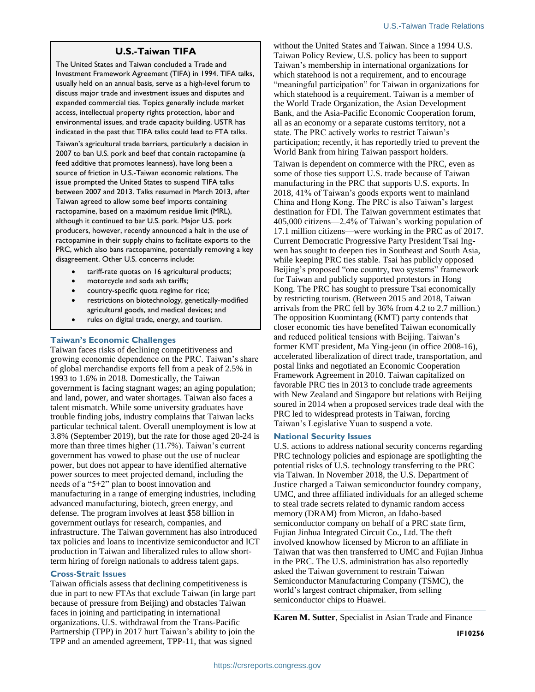# **U.S.-Taiwan TIFA**

The United States and Taiwan concluded a Trade and Investment Framework Agreement (TIFA) in 1994. TIFA talks, usually held on an annual basis, serve as a high-level forum to discuss major trade and investment issues and disputes and expanded commercial ties. Topics generally include market access, intellectual property rights protection, labor and environmental issues, and trade capacity building. USTR has indicated in the past that TIFA talks could lead to FTA talks.

Taiwan's agricultural trade barriers, particularly a decision in 2007 to ban U.S. pork and beef that contain ractopamine (a feed additive that promotes leanness), have long been a source of friction in U.S.-Taiwan economic relations. The issue prompted the United States to suspend TIFA talks between 2007 and 2013. Talks resumed in March 2013, after Taiwan agreed to allow some beef imports containing ractopamine, based on a maximum residue limit (MRL), although it continued to bar U.S. pork. Major U.S. pork producers, however, recently announced a halt in the use of ractopamine in their supply chains to facilitate exports to the PRC, which also bans ractopamine, potentially removing a key disagreement. Other U.S. concerns include:

- tariff-rate quotas on 16 agricultural products;
- motorcycle and soda ash tariffs;
- country-specific quota regime for rice;
- restrictions on biotechnology, genetically-modified agricultural goods, and medical devices; and
- rules on digital trade, energy, and tourism.

# **Taiwan's Economic Challenges**

Taiwan faces risks of declining competitiveness and growing economic dependence on the PRC. Taiwan's share of global merchandise exports fell from a peak of 2.5% in 1993 to 1.6% in 2018. Domestically, the Taiwan government is facing stagnant wages; an aging population; and land, power, and water shortages. Taiwan also faces a talent mismatch. While some university graduates have trouble finding jobs, industry complains that Taiwan lacks particular technical talent. Overall unemployment is low at 3.8% (September 2019), but the rate for those aged 20-24 is more than three times higher (11.7%). Taiwan's current government has vowed to phase out the use of nuclear power, but does not appear to have identified alternative power sources to meet projected demand, including the needs of a "5+2" plan to boost innovation and manufacturing in a range of emerging industries, including advanced manufacturing, biotech, green energy, and defense. The program involves at least \$58 billion in government outlays for research, companies, and infrastructure. The Taiwan government has also introduced tax policies and loans to incentivize semiconductor and ICT production in Taiwan and liberalized rules to allow shortterm hiring of foreign nationals to address talent gaps.

## **Cross-Strait Issues**

Taiwan officials assess that declining competitiveness is due in part to new FTAs that exclude Taiwan (in large part because of pressure from Beijing) and obstacles Taiwan faces in joining and participating in international organizations. U.S. withdrawal from the Trans-Pacific Partnership (TPP) in 2017 hurt Taiwan's ability to join the TPP and an amended agreement, TPP-11, that was signed

without the United States and Taiwan. Since a 1994 U.S. Taiwan Policy Review, U.S. policy has been to support Taiwan's membership in international organizations for which statehood is not a requirement, and to encourage "meaningful participation" for Taiwan in organizations for which statehood is a requirement. Taiwan is a member of the World Trade Organization, the Asian Development Bank, and the Asia-Pacific Economic Cooperation forum, all as an economy or a separate customs territory, not a state. The PRC actively works to restrict Taiwan's participation; recently, it has reportedly tried to prevent the World Bank from hiring Taiwan passport holders.

Taiwan is dependent on commerce with the PRC, even as some of those ties support U.S. trade because of Taiwan manufacturing in the PRC that supports U.S. exports. In 2018, 41% of Taiwan's goods exports went to mainland China and Hong Kong. The PRC is also Taiwan's largest destination for FDI. The Taiwan government estimates that 405,000 citizens—2.4% of Taiwan's working population of 17.1 million citizens—were working in the PRC as of 2017. Current Democratic Progressive Party President Tsai Ingwen has sought to deepen ties in Southeast and South Asia, while keeping PRC ties stable. Tsai has publicly opposed Beijing's proposed "one country, two systems" framework for Taiwan and publicly supported protestors in Hong Kong. The PRC has sought to pressure Tsai economically by restricting tourism. (Between 2015 and 2018, Taiwan arrivals from the PRC fell by 36% from 4.2 to 2.7 million.) The opposition Kuomintang (KMT) party contends that closer economic ties have benefited Taiwan economically and reduced political tensions with Beijing. Taiwan's former KMT president, Ma Ying-jeou (in office 2008-16), accelerated liberalization of direct trade, transportation, and postal links and negotiated an Economic Cooperation Framework Agreement in 2010. Taiwan capitalized on favorable PRC ties in 2013 to conclude trade agreements with New Zealand and Singapore but relations with Beijing soured in 2014 when a proposed services trade deal with the PRC led to widespread protests in Taiwan, forcing Taiwan's Legislative Yuan to suspend a vote.

#### **National Security Issues**

U.S. actions to address national security concerns regarding PRC technology policies and espionage are spotlighting the potential risks of U.S. technology transferring to the PRC via Taiwan. In November 2018, the U.S. Department of Justice charged a Taiwan semiconductor foundry company, UMC, and three affiliated individuals for an alleged scheme to steal trade secrets related to dynamic random access memory (DRAM) from Micron, an Idaho-based semiconductor company on behalf of a PRC state firm, Fujian Jinhua Integrated Circuit Co., Ltd. The theft involved knowhow licensed by Micron to an affiliate in Taiwan that was then transferred to UMC and Fujian Jinhua in the PRC. The U.S. administration has also reportedly asked the Taiwan government to restrain Taiwan Semiconductor Manufacturing Company (TSMC), the world's largest contract chipmaker, from selling semiconductor chips to Huawei.

**Karen M. Sutter**, Specialist in Asian Trade and Finance